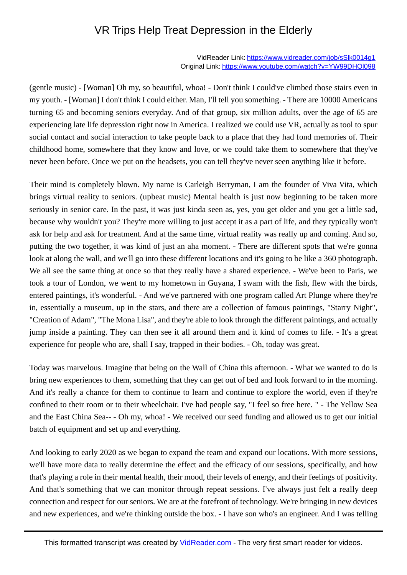## VR Trips Help Treat Depression in the Elderly

VidReader Link:<https://www.vidreader.com/job/sSlk0014g1> Original Link:<https://www.youtube.com/watch?v=YW99DHOl098>

 (gentle music) - [Woman] Oh my, so beautiful, whoa! - Don't think I could've climbed those stairs even in my youth. - [Woman] I don't think I could either. Man, I'll tell you something. - There are 10000 Americans turning 65 and becoming seniors everyday. And of that group, six million adults, over the age of 65 are experiencing late life depression right now in America. I realized we could use VR, actually as tool to spur social contact and social interaction to take people back to a place that they had fond memories of. Their childhood home, somewhere that they know and love, or we could take them to somewhere that they've never been before. Once we put on the headsets, you can tell they've never seen anything like it before.

Their mind is completely blown. My name is Carleigh Berryman, I am the founder of Viva Vita, which brings virtual reality to seniors. (upbeat music) Mental health is just now beginning to be taken more seriously in senior care. In the past, it was just kinda seen as, yes, you get older and you get a little sad, because why wouldn't you? They're more willing to just accept it as a part of life, and they typically won't ask for help and ask for treatment. And at the same time, virtual reality was really up and coming. And so, putting the two together, it was kind of just an aha moment. - There are different spots that we're gonna look at along the wall, and we'll go into these different locations and it's going to be like a 360 photograph. We all see the same thing at once so that they really have a shared experience. - We've been to Paris, we took a tour of London, we went to my hometown in Guyana, I swam with the fish, flew with the birds, entered paintings, it's wonderful. - And we've partnered with one program called Art Plunge where they're in, essentially a museum, up in the stars, and there are a collection of famous paintings, "Starry Night", "Creation of Adam", "The Mona Lisa", and they're able to look through the different paintings, and actually jump inside a painting. They can then see it all around them and it kind of comes to life. - It's a great experience for people who are, shall I say, trapped in their bodies. - Oh, today was great.

Today was marvelous. Imagine that being on the Wall of China this afternoon. - What we wanted to do is bring new experiences to them, something that they can get out of bed and look forward to in the morning. And it's really a chance for them to continue to learn and continue to explore the world, even if they're confined to their room or to their wheelchair. I've had people say, "I feel so free here. " - The Yellow Sea and the East China Sea-- - Oh my, whoa! - We received our seed funding and allowed us to get our initial batch of equipment and set up and everything.

And looking to early 2020 as we began to expand the team and expand our locations. With more sessions, we'll have more data to really determine the effect and the efficacy of our sessions, specifically, and how that's playing a role in their mental health, their mood, their levels of energy, and their feelings of positivity. And that's something that we can monitor through repeat sessions. I've always just felt a really deep connection and respect for our seniors. We are at the forefront of technology. We're bringing in new devices and new experiences, and we're thinking outside the box. - I have son who's an engineer. And I was telling